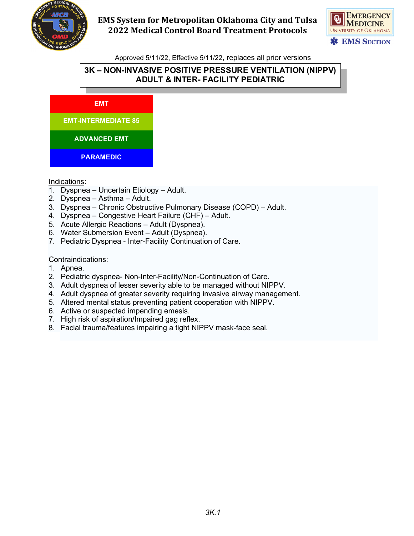



Approved 5/11/22, Effective 5/11/22, replaces all prior versions

## **3K – NON-INVASIVE POSITIVE PRESSURE VENTILATION (NIPPV) ADULT & INTER- FACILITY PEDIATRIC**



#### Indications:

- 1. Dyspnea Uncertain Etiology Adult.
- 2. Dyspnea Asthma Adult.
- 3. Dyspnea Chronic Obstructive Pulmonary Disease (COPD) Adult.
- 4. Dyspnea Congestive Heart Failure (CHF) Adult.
- 5. Acute Allergic Reactions Adult (Dyspnea).
- 6. Water Submersion Event Adult (Dyspnea).
- 7. Pediatric Dyspnea Inter-Facility Continuation of Care.

Contraindications:

- 1. Apnea.
- 2. Pediatric dyspnea- Non-Inter-Facility/Non-Continuation of Care.
- 3. Adult dyspnea of lesser severity able to be managed without NIPPV.
- 4. Adult dyspnea of greater severity requiring invasive airway management.
- 5. Altered mental status preventing patient cooperation with NIPPV.
- 6. Active or suspected impending emesis.
- 7. High risk of aspiration/Impaired gag reflex.
- 8. Facial trauma/features impairing a tight NIPPV mask-face seal.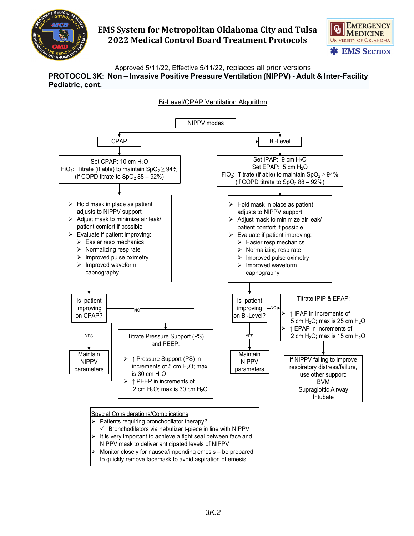



Approved 5/11/22, Effective 5/11/22, replaces all prior versions **PROTOCOL 3K: Non – Invasive Positive Pressure Ventilation (NIPPV) - Adult & Inter-Facility Pediatric, cont.**

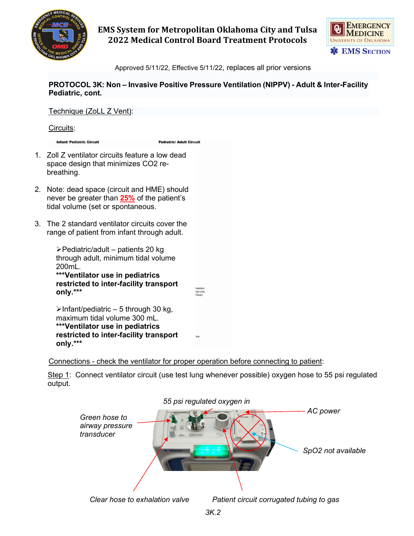



Approved 5/11/22, Effective 5/11/22, replaces all prior versions

**PROTOCOL 3K: Non – Invasive Positive Pressure Ventilation (NIPPV) - Adult & Inter-Facility Pediatric, cont.**

Technique (ZoLL Z Vent): Circuits: **Infant/ Pediatric Circuit Pediatric/ Adult Circuit** 1. Zoll Z ventilator circuits feature a low dead space design that minimizes CO2 rebreathing. 2. Note: dead space (circuit and HME) should never be greater than **25%** of the patient's tidal volume (set or spontaneous. 3. The 2 standard ventilator circuits cover the range of patient from infant through adult.  $\blacktriangleright$  Pediatric/adult – patients 20 kg through adult, minimum tidal volume 200mL. **\*\*\*Ventilator use in pediatrics restricted to inter-facility transport**  naiauor<br>Ive Line<br>Clear) **only.\*\*\***  $\blacktriangleright$ Infant/pediatric – 5 through 30 kg, maximum tidal volume 300 mL. **\*\*\*Ventilator use in pediatrics restricted to inter-facility transport only.\*\*\***

Connections - check the ventilator for proper operation before connecting to patient:

Step 1: Connect ventilator circuit (use test lung whenever possible) oxygen hose to 55 psi regulated output.